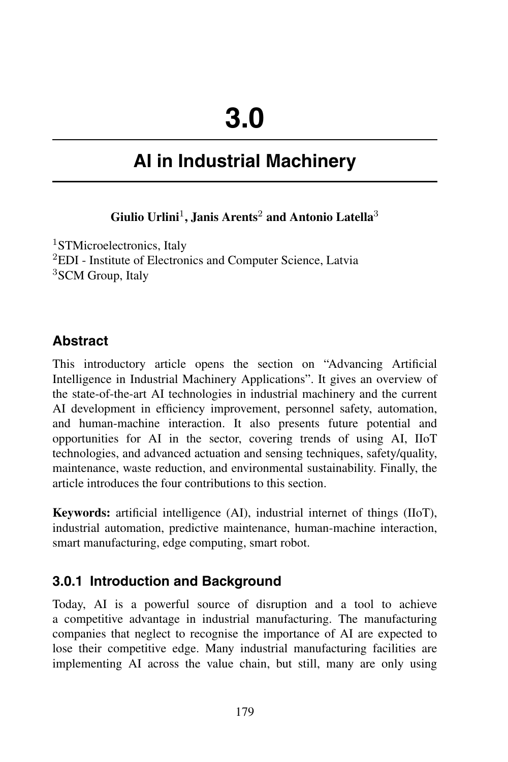# **AI in Industrial Machinery**

**Giulio Urlini**<sup>1</sup> **, Janis Arents**<sup>2</sup> **and Antonio Latella**<sup>3</sup>

<sup>1</sup>STMicroelectronics, Italy <sup>2</sup>EDI - Institute of Electronics and Computer Science, Latvia <sup>3</sup>SCM Group, Italy

## **Abstract**

This introductory article opens the section on "Advancing Artificial Intelligence in Industrial Machinery Applications". It gives an overview of the state-of-the-art AI technologies in industrial machinery and the current AI development in efficiency improvement, personnel safety, automation, and human-machine interaction. It also presents future potential and opportunities for AI in the sector, covering trends of using AI, IIoT technologies, and advanced actuation and sensing techniques, safety/quality, maintenance, waste reduction, and environmental sustainability. Finally, the article introduces the four contributions to this section.

**Keywords:** artificial intelligence (AI), industrial internet of things (IIoT), industrial automation, predictive maintenance, human-machine interaction, smart manufacturing, edge computing, smart robot.

## **3.0.1 Introduction and Background**

Today, AI is a powerful source of disruption and a tool to achieve a competitive advantage in industrial manufacturing. The manufacturing companies that neglect to recognise the importance of AI are expected to lose their competitive edge. Many industrial manufacturing facilities are implementing AI across the value chain, but still, many are only using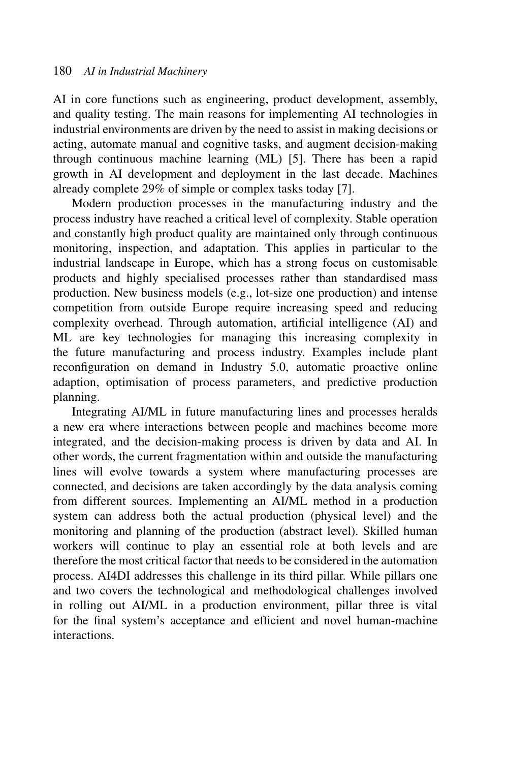AI in core functions such as engineering, product development, assembly, and quality testing. The main reasons for implementing AI technologies in industrial environments are driven by the need to assist in making decisions or acting, automate manual and cognitive tasks, and augment decision-making through continuous machine learning (ML) [5]. There has been a rapid growth in AI development and deployment in the last decade. Machines already complete 29% of simple or complex tasks today [7].

Modern production processes in the manufacturing industry and the process industry have reached a critical level of complexity. Stable operation and constantly high product quality are maintained only through continuous monitoring, inspection, and adaptation. This applies in particular to the industrial landscape in Europe, which has a strong focus on customisable products and highly specialised processes rather than standardised mass production. New business models (e.g., lot-size one production) and intense competition from outside Europe require increasing speed and reducing complexity overhead. Through automation, artificial intelligence (AI) and ML are key technologies for managing this increasing complexity in the future manufacturing and process industry. Examples include plant reconfiguration on demand in Industry 5.0, automatic proactive online adaption, optimisation of process parameters, and predictive production planning.

Integrating AI/ML in future manufacturing lines and processes heralds a new era where interactions between people and machines become more integrated, and the decision-making process is driven by data and AI. In other words, the current fragmentation within and outside the manufacturing lines will evolve towards a system where manufacturing processes are connected, and decisions are taken accordingly by the data analysis coming from different sources. Implementing an AI/ML method in a production system can address both the actual production (physical level) and the monitoring and planning of the production (abstract level). Skilled human workers will continue to play an essential role at both levels and are therefore the most critical factor that needs to be considered in the automation process. AI4DI addresses this challenge in its third pillar. While pillars one and two covers the technological and methodological challenges involved in rolling out AI/ML in a production environment, pillar three is vital for the final system's acceptance and efficient and novel human-machine interactions.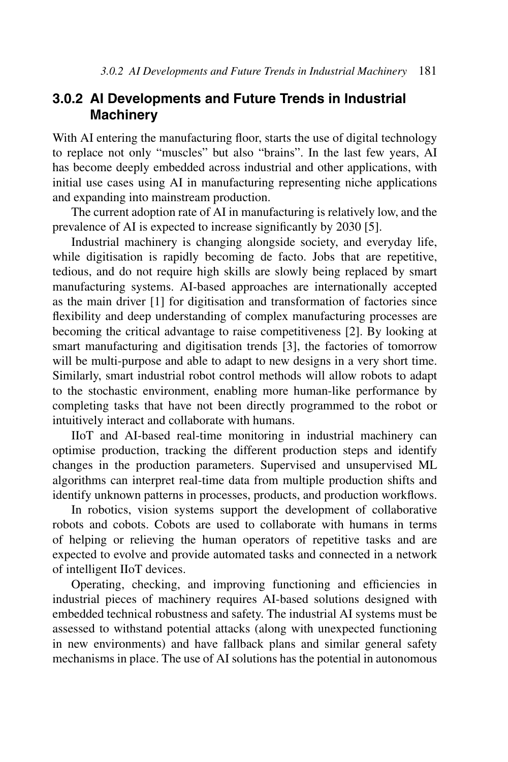#### **3.0.2 AI Developments and Future Trends in Industrial Machinery**

With AI entering the manufacturing floor, starts the use of digital technology to replace not only "muscles" but also "brains". In the last few years, AI has become deeply embedded across industrial and other applications, with initial use cases using AI in manufacturing representing niche applications and expanding into mainstream production.

The current adoption rate of AI in manufacturing is relatively low, and the prevalence of AI is expected to increase significantly by 2030 [5].

Industrial machinery is changing alongside society, and everyday life, while digitisation is rapidly becoming de facto. Jobs that are repetitive, tedious, and do not require high skills are slowly being replaced by smart manufacturing systems. AI-based approaches are internationally accepted as the main driver [1] for digitisation and transformation of factories since flexibility and deep understanding of complex manufacturing processes are becoming the critical advantage to raise competitiveness [2]. By looking at smart manufacturing and digitisation trends [3], the factories of tomorrow will be multi-purpose and able to adapt to new designs in a very short time. Similarly, smart industrial robot control methods will allow robots to adapt to the stochastic environment, enabling more human-like performance by completing tasks that have not been directly programmed to the robot or intuitively interact and collaborate with humans.

IIoT and AI-based real-time monitoring in industrial machinery can optimise production, tracking the different production steps and identify changes in the production parameters. Supervised and unsupervised ML algorithms can interpret real-time data from multiple production shifts and identify unknown patterns in processes, products, and production workflows.

In robotics, vision systems support the development of collaborative robots and cobots. Cobots are used to collaborate with humans in terms of helping or relieving the human operators of repetitive tasks and are expected to evolve and provide automated tasks and connected in a network of intelligent IIoT devices.

Operating, checking, and improving functioning and efficiencies in industrial pieces of machinery requires AI-based solutions designed with embedded technical robustness and safety. The industrial AI systems must be assessed to withstand potential attacks (along with unexpected functioning in new environments) and have fallback plans and similar general safety mechanisms in place. The use of AI solutions has the potential in autonomous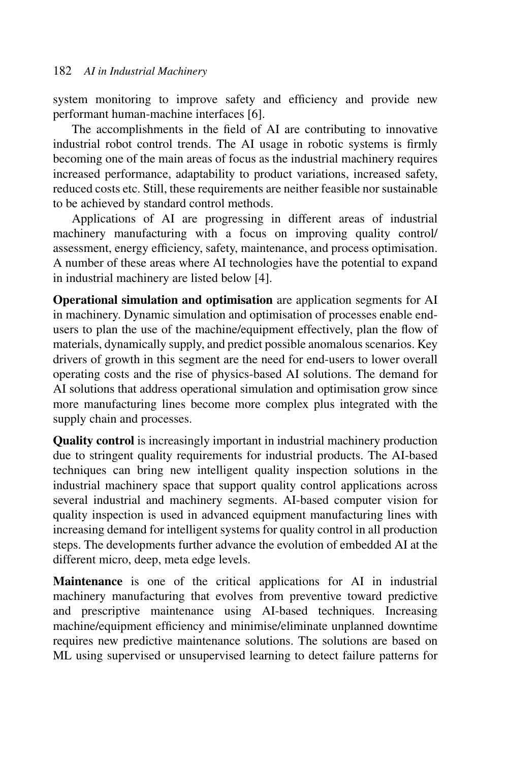system monitoring to improve safety and efficiency and provide new performant human-machine interfaces [6].

The accomplishments in the field of AI are contributing to innovative industrial robot control trends. The AI usage in robotic systems is firmly becoming one of the main areas of focus as the industrial machinery requires increased performance, adaptability to product variations, increased safety, reduced costs etc. Still, these requirements are neither feasible nor sustainable to be achieved by standard control methods.

Applications of AI are progressing in different areas of industrial machinery manufacturing with a focus on improving quality control/ assessment, energy efficiency, safety, maintenance, and process optimisation. A number of these areas where AI technologies have the potential to expand in industrial machinery are listed below [4].

**Operational simulation and optimisation** are application segments for AI in machinery. Dynamic simulation and optimisation of processes enable endusers to plan the use of the machine/equipment effectively, plan the flow of materials, dynamically supply, and predict possible anomalous scenarios. Key drivers of growth in this segment are the need for end-users to lower overall operating costs and the rise of physics-based AI solutions. The demand for AI solutions that address operational simulation and optimisation grow since more manufacturing lines become more complex plus integrated with the supply chain and processes.

**Quality control** is increasingly important in industrial machinery production due to stringent quality requirements for industrial products. The AI-based techniques can bring new intelligent quality inspection solutions in the industrial machinery space that support quality control applications across several industrial and machinery segments. AI-based computer vision for quality inspection is used in advanced equipment manufacturing lines with increasing demand for intelligent systems for quality control in all production steps. The developments further advance the evolution of embedded AI at the different micro, deep, meta edge levels.

**Maintenance** is one of the critical applications for AI in industrial machinery manufacturing that evolves from preventive toward predictive and prescriptive maintenance using AI-based techniques. Increasing machine/equipment efficiency and minimise/eliminate unplanned downtime requires new predictive maintenance solutions. The solutions are based on ML using supervised or unsupervised learning to detect failure patterns for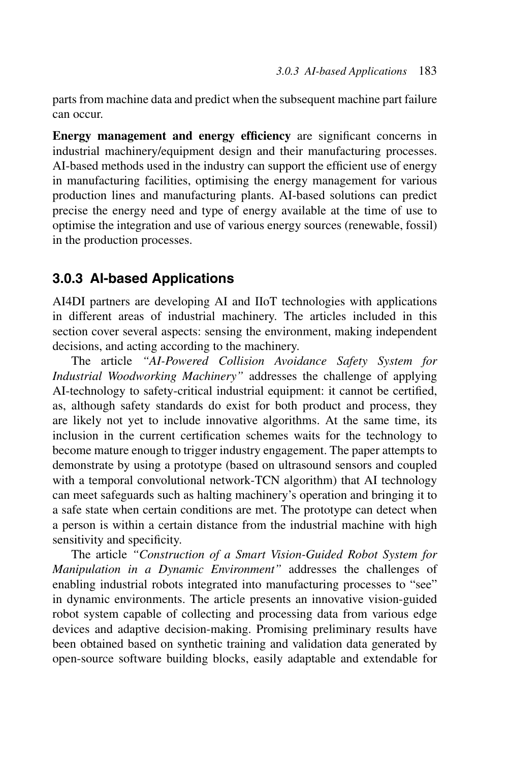parts from machine data and predict when the subsequent machine part failure can occur.

**Energy management and energy efficiency** are significant concerns in industrial machinery/equipment design and their manufacturing processes. AI-based methods used in the industry can support the efficient use of energy in manufacturing facilities, optimising the energy management for various production lines and manufacturing plants. AI-based solutions can predict precise the energy need and type of energy available at the time of use to optimise the integration and use of various energy sources (renewable, fossil) in the production processes.

#### **3.0.3 AI-based Applications**

AI4DI partners are developing AI and IIoT technologies with applications in different areas of industrial machinery. The articles included in this section cover several aspects: sensing the environment, making independent decisions, and acting according to the machinery.

The article *"AI-Powered Collision Avoidance Safety System for Industrial Woodworking Machinery"* addresses the challenge of applying AI-technology to safety-critical industrial equipment: it cannot be certified, as, although safety standards do exist for both product and process, they are likely not yet to include innovative algorithms. At the same time, its inclusion in the current certification schemes waits for the technology to become mature enough to trigger industry engagement. The paper attempts to demonstrate by using a prototype (based on ultrasound sensors and coupled with a temporal convolutional network-TCN algorithm) that AI technology can meet safeguards such as halting machinery's operation and bringing it to a safe state when certain conditions are met. The prototype can detect when a person is within a certain distance from the industrial machine with high sensitivity and specificity.

The article *"Construction of a Smart Vision-Guided Robot System for Manipulation in a Dynamic Environment"* addresses the challenges of enabling industrial robots integrated into manufacturing processes to "see" in dynamic environments. The article presents an innovative vision-guided robot system capable of collecting and processing data from various edge devices and adaptive decision-making. Promising preliminary results have been obtained based on synthetic training and validation data generated by open-source software building blocks, easily adaptable and extendable for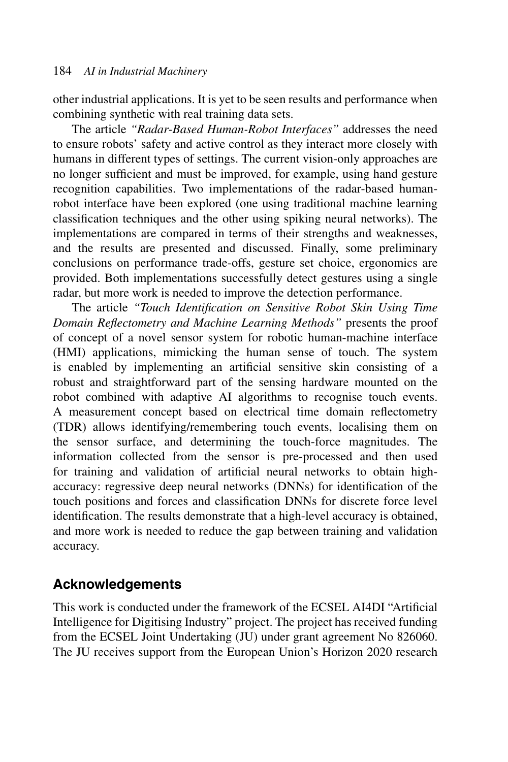other industrial applications. It is yet to be seen results and performance when combining synthetic with real training data sets.

The article *"Radar-Based Human-Robot Interfaces"* addresses the need to ensure robots' safety and active control as they interact more closely with humans in different types of settings. The current vision-only approaches are no longer sufficient and must be improved, for example, using hand gesture recognition capabilities. Two implementations of the radar-based humanrobot interface have been explored (one using traditional machine learning classification techniques and the other using spiking neural networks). The implementations are compared in terms of their strengths and weaknesses, and the results are presented and discussed. Finally, some preliminary conclusions on performance trade-offs, gesture set choice, ergonomics are provided. Both implementations successfully detect gestures using a single radar, but more work is needed to improve the detection performance.

The article *"Touch Identification on Sensitive Robot Skin Using Time Domain Reflectometry and Machine Learning Methods"* presents the proof of concept of a novel sensor system for robotic human-machine interface (HMI) applications, mimicking the human sense of touch. The system is enabled by implementing an artificial sensitive skin consisting of a robust and straightforward part of the sensing hardware mounted on the robot combined with adaptive AI algorithms to recognise touch events. A measurement concept based on electrical time domain reflectometry (TDR) allows identifying/remembering touch events, localising them on the sensor surface, and determining the touch-force magnitudes. The information collected from the sensor is pre-processed and then used for training and validation of artificial neural networks to obtain highaccuracy: regressive deep neural networks (DNNs) for identification of the touch positions and forces and classification DNNs for discrete force level identification. The results demonstrate that a high-level accuracy is obtained, and more work is needed to reduce the gap between training and validation accuracy.

#### **Acknowledgements**

This work is conducted under the framework of the ECSEL AI4DI "Artificial Intelligence for Digitising Industry" project. The project has received funding from the ECSEL Joint Undertaking (JU) under grant agreement No 826060. The JU receives support from the European Union's Horizon 2020 research